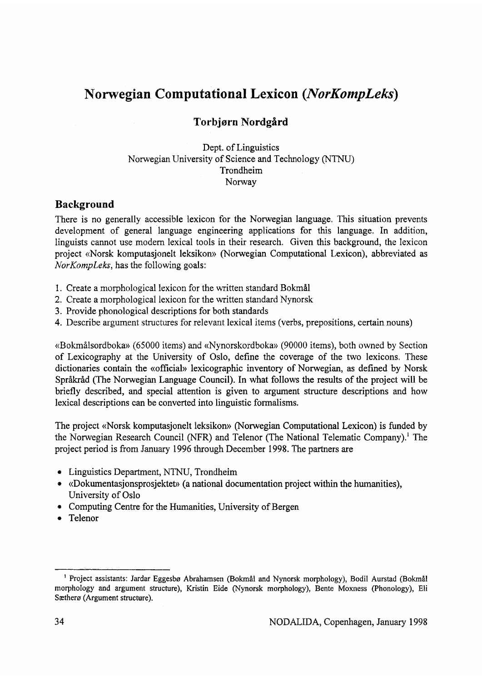# **Norwegian Computational Lexicon** *(NorKompLeks)*

# **Torbjørn Nordgård**

#### Dept, of Linguistics Norwegian University of Science and Technology (NTNU) Trondheim Norway

# **Background**

There is no generally accessible lexicon for the Norwegian language. This situation prevents development of general language engineering applications for this language. In addition, linguists cannot use modern lexical tools in their research. Given this background, the lexicon project «Norsk komputasjonelt leksikon» (Norwegian Computational Lexicon), abbreviated as *NorKompLeks*, has the following goals:

- 1. Create a morphological lexicon for the written standard Bokmål
- 2. Create a morphological lexicon for the written standard Nynorsk
- 3. Provide phonological descriptions for both standards
- 4. Describe argument structures for relevant lexical items (verbs, prepositions, certain nouns)

«Bokmålsordboka» (65000 items) and «Nynorskordboka» (90000 items), both owned by Section of Lexicography at the University of Oslo, define the coverage of the two lexicons. These dictionaries contain the «official» lexicographic inventory of Norwegian, as defined by Norsk Språkråd (The Norwegian Language Council). In what follows the results of the project will be briefly described, and special attention is given to argument structure descriptions and how lexical descriptions can be converted into linguistic formalisms.

The project «Norsk komputasjonelt leksikon» (Norwegian Computational Lexicon) is funded by the Norwegian Research Council (NFR) and Telenor (The National Telematic Company).<sup>1</sup> The project period is from January 1996 through December 1998. The partners are

- Linguistics Department, NTNU, Trondheim
- «Dokumentasjonsprosiektet» (a national documentation project within the humanities). University of Oslo
- Computing Centre for the Humanities, University of Bergen
- Telenor

**<sup>&#</sup>x27; Project assistants: Jardar Eggesbø Abrahamsen (Bokmål and Nynorsk morphology), Bodil Aurstad (Bokmål** morphology and argument structure), Kristin Eide (Nynorsk morphology), Bente Moxness (Phonology), Eli **Sætherø (Argument structure).**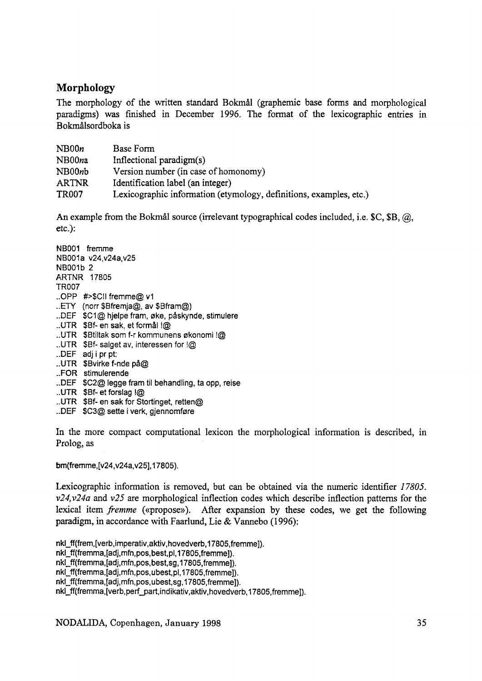# **Morphology**

The morphology of the written standard Bokmål (graphemic base forms and morphological paradigms) was finished in December 1996. The format of the lexicographic entries in Bokmålsordboka is

| NB00n        | Base Form                                                          |
|--------------|--------------------------------------------------------------------|
| NB00na       | Inflectional paradigm $(s)$                                        |
| NB00nb       | Version number (in case of homonomy)                               |
| <b>ARTNR</b> | Identification label (an integer)                                  |
| <b>TR007</b> | Lexicographic information (etymology, definitions, examples, etc.) |

An example from the Bokm ål source (irrelevant typographical codes included, i.e.  $C$ ,  $B$ ,  $\omega$ , etc.):

- **NB001 fremme NBOOIa v24,v24a,v25 NBOOtb 2 ARTNR 17805 TR007 ..OPP #>\$Cll fremme@ v1 ..ETY (norr \$Bfremja@, av \$Bfram@) ..DEF \$C1@ hjelpe fram, øke, påskynde, stimulere ..UTR \$Bf- en sak, et formål !@ ..UTR SBtiltak som f-r kommunens økonomi !@ ..UTR \$Bf- salget av, interessen for !@ ..DEF adj i pr pt: ..UTR \$Bvirke f-nde på@ ..FOR stimulerende ..DEF \$C2@ legge fram til behandling, ta opp, reise ..UTR \$Bf- et forslag !@**
- **..UTR \$Bf- en sak for Stortinget, retten@**
- **..DEF \$C3@ sette i verk, gjennomføre**

In the more compact computational lexicon the morphological information is described, in Prolog, as

**bm(fremme,[v24,v24a,v25],17805).**

L exicographic information is removed, but can be obtained via the numeric identifier 17805.  $v24$ ,  $v24a$  and  $v25$  are morphological inflection codes which describe inflection patterns for the lexical item *fremme* («propose»). After expansion by these codes, we get the following paradigm, in accordance with Faarlund, Lie & Vannebo (1996):

**nkl\_ff(frem,[verb,imperativ,aktiv,hovedverb,17805,fremme]). nkl\_ff(fremma,[adj,mfn,pos,best,pl,17805,fremme]). nkl\_ff(fremma,[adj,mfn,pos,best,sg,17805,fremme]). nkl\_ff(fremma,[adj,mfn,pos,ubest,pl,17805,fremme]). nkl\_ff(fremma,[adj,mfn,pos,ubest,sg,17805,fremme]). nkl\_ff(fremma,[verb,perf\_part,indikativ,aktiv,hovedverb, 17805,fremme]).**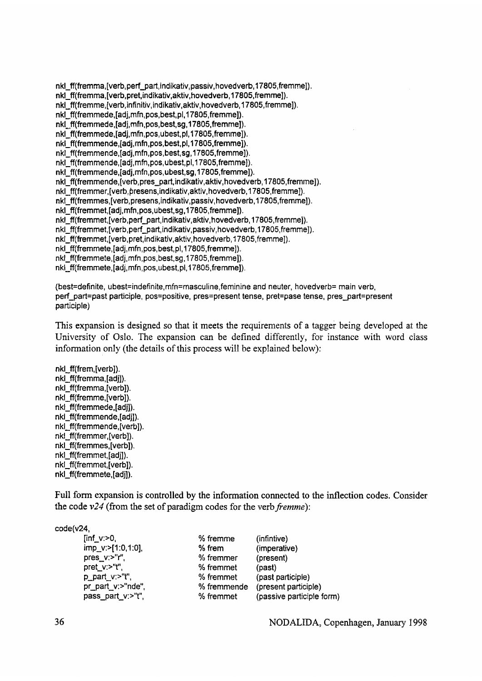**nkl\_ff(fremma,[verb,perf\_part,indikativ,passiv,hovedverb, 17805,fremme]). nkl\_ff(fremma,[verb,pret,indikativ,aktiv,hovedverb,17805,fremmej). nkl\_ff(fremme,[verb,infinitiv,indikativ,aktiv,hovedverb,17805,fremme]). nkI\_ff(fremmede,[adj,mfn,pos,best,pl, 17805,fremme]). nkl\_ff(fremmede,[adj,mfn,pos,best,sg,17805,fremme]). nkl\_ff(fremmede,[adj,mfn,pos,ubest,pl, 17805,fremme]). nkl\_ff(fremmende,[adj,mfn,pos,best,pl,17805,fremme]). nkl\_ff(fremmende,[adj,mfn,pos,best, sg,17805,fremme]). nkl\_ff(fremmende,[adj,mfn,pos,ubest,pl, 17805,fremme]). nkl\_ff(fremmende,[adj,mfn,pos,ubest,sg,17805,fremme]). nkl\_ff(fremmende,[verb,pres\_part,indikativ,aktiv,hovedverb,17805,fremme]).** nkl\_ff(fremmer, [verb, presens, indikativ, aktiv, hovedverb, 17805, fremme]). **nkl\_ff(fremmes,[verb,presens,indikativ,passiv,hovedverb,17805,fremme]). nkl\_ff(fremmet,[adj,mfn,pos,ubest,sg,17805,fremme]). nkl\_ff(fremmet,[verb,perf\_part,indikativ,aktiv,hovedverb, 17805,fremme]). nkl\_ff(fremmet,[verb,perf\_part,indikativ,passiv,hovedverb,17805,fremme]). nkl\_ff(fremmet,[verb,pret,indikativ,aktiv,hovedverb, 17805,fremme]). nkl\_ff(fremmete,[adj,mfn,pos,best,pl, 17805,fremme]). nkI\_ff(fremmete,[adj,mfn,pos,best,sg, 17805,fremme]). nkl\_ff(fremmete,[adj,mfn,pos,ubest, pi, 17805,fremme]).**

**(best=definite, ubest=indefinite,mfn=masculine,feminine and neuter, hovedverb= main verb,** perf\_part=past participle, pos=positive, pres=present tense, pret=pase tense, pres\_part=present **participle)**

This expansion is designed so that it meets the requirements of a tagger being developed at the University of Oslo. The expansion can be defined differently, for instance with word class information only (the details of this process will be explained below):

**nkl\_ff(frem,[verb]). nkl\_ff(fremma,[adj]). nkl\_ff(fremma,[verb]). nkl\_ff(fremme,[verb]). nkl\_ff(fremmede,[adj]). nkl\_ff(fremmende,[adj]). nkl\_ff(fremmende,[verb]). nkl\_ff(fremmer,[verb]). nkl\_ff(fremmes,[verb]). nkl\_ff(fremmet,[adj]). nkl\_ff(fremmet,[verb]). nkl\_ff(fremmete,[adj]).**

Full form expansion is controlled by the information connected to the inflection codes. Consider the code  $v24$  (from the set of paradigm codes for the verb *fremme*):

**code(v24,**

| % fremme    | (infintive)               |
|-------------|---------------------------|
| $%$ frem    | (imperative)              |
| % fremmer   | (present)                 |
| % fremmet   | (past)                    |
| % fremmet   | (past participle)         |
| % fremmende | (present participle)      |
| % fremmet   | (passive participle form) |
|             |                           |

36 NOD ALIDA, Copenhagen, January 1998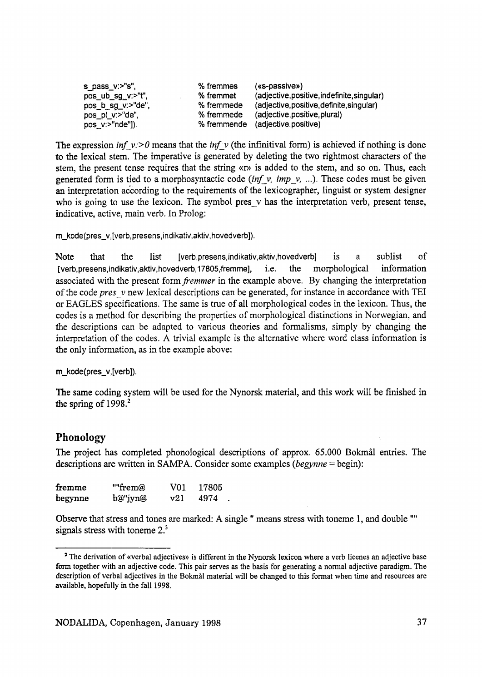| s pass $v:$ "s",  | % fremmes   | $(ss-passive)$                              |
|-------------------|-------------|---------------------------------------------|
| pos_ub_sg_v:>"t", | % fremmet   | (adjective, positive, indefinite, singular) |
| pos_b_sg_v:>"de", | % fremmede  | (adjective, positive, definite, singular)   |
| pos_pl_v:>"de",   | % fremmede  | (adjective, positive, plural)               |
| pos_v:>"nde"]).   | % fremmende | (adjective,positive)                        |

The expression *inf*  $v$ :> 0 means that the *inf*  $v$  (the infinitival form) is achieved if nothing is done to the lexical stem. The imperative is generated by deleting the two rightmost characters of the stem, the present tense requires that the string «r» is added to the stem, and so on. Thus, each generated form is tied to a morphosyntactic code *(inf v, imp v, ...)*. These codes must be given an interpretation according to the requirements of the lexicographer, linguist or system designer who is going to use the lexicon. The symbol pres  $v$  has the interpretation verb, present tense, indicative, active, main verb. In Prolog:

**m\_kode(pres\_v,[verb,presens,indikativ,aktiv,hovedverb]).**

Note that the list **[verb,presens,indikativ,aktiv,hovedverb**] is a sublist of [verb,presens,indikativ,aktiv,hovedverb,17805,fremme], i.e. the morphological information associated with the present form *fremmer* in the example above. By changing the interpretation of the code *pres* v new lexical descriptions can be generated, for instance in accordance with TEI or EAGLES specifications. The same is true of all morphological codes in the lexicon. Thus, the codes is a method for describing the properties of morphological distinctions in Norwegian, and the descriptions can be adapted to various theories and formalisms, simply by changing the interpretation of the codes. A trivial example is the alternative where word class information is the only information, as in the example above:

#### **m\_kode(pres\_v,[verbj).**

The same coding system will be used for the N ynorsk material, and this work will be finished in the spring of  $1998<sup>2</sup>$ 

#### **Phonology**

The project has completed phonological descriptions of approx. 65.000 Bokmål entries. The descriptions are written in SAMPA. Consider some examples (begynne = begin):

| fremme  | ""frem@ | V01. | 17805 |
|---------|---------|------|-------|
| begynne | b@"jyn@ | v21  | 4974  |

Observe that stress and tones are marked: A single " means stress with toneme 1, and double "" signals stress with to neme  $2<sup>3</sup>$ 

<sup>&</sup>lt;sup>2</sup> The derivation of «verbal adjectives» is different in the Nynorsk lexicon where a verb licenes an adjective base **form together with an adjective code. This pair serves as the basis for generating a normal adjective paradigm. The description of verbal adjectives in the Bokmål material will be changed to this format when time and resources are available, hopefully in the fall 1998.**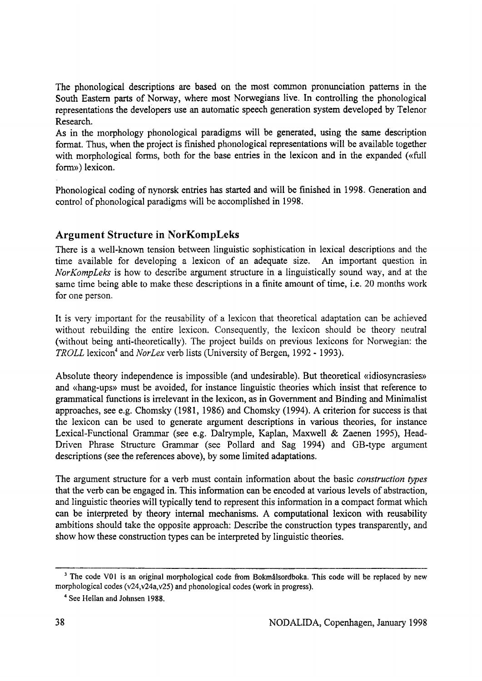The phonological descriptions are based on the most common pronunciation patterns in the South Eastern parts of Norway, where most Norwegians live. In controlling the phonological representations the developers use an automatic speech generation system developed by Telenor R esearch.

As in the morphology phonological paradigms will be generated, using the same description format. Thus, when the project is finished phonological representations will be available together with morphological forms, both for the base entries in the lexicon and in the expanded («full form») lexicon.

Phonological coding of nynorsk entries has started and will be finished in 1998. Generation and control of phonological paradigms will be accomplished in 1998.

# **Argument Structure in NorKompLeks**

There is a well-known tension between linguistic sophistication in lexical descriptions and the time available for developing a lexicon of an adequate size. An important question in *Nor Komp Leks* is how to describe argument structure in a linguistically sound way, and at the same time being able to make these descriptions in a finite amount of time, i.e. 20 months work for one person.

It is very important for the reusability of a lexicon that theoretical adaptation can be achieved without rebuilding the entire lexicon. Consequently, the lexicon should be theory neutral (without being anti-theoretically). The project builds on previous lexicons for Norwegian: the *TROLL* lexicon<sup>4</sup> and *NorLex* verb lists (University of Bergen, 1992 - 1993).

Absolute theory independence is impossible (and undesirable). But theoretical «idiosyncrasies» and «hang-ups» must be avoided, for instance linguistic theories which insist that reference to grammatical functions is irrelevant in the lexicon, as in Government and Binding and Minimalist approaches, see e.g. Chomsky (1981, 1986) and Chomsky (1994). A criterion for success is that the lexicon can be used to generate argument descriptions in various theories, for instance Lexical-Functional Grammar (see e.g. Dalrymple, Kaplan, Maxwell & Zaenen 1995), Head-Driven Phrase Structure Grammar (see Pollard and Sag 1994) and GB-type argument descriptions (see the references above), by some limited adaptations.

The argument structure for a verb must contain information about the basic *construction types* that the verb can be engaged in. This information can be encoded at various levels of abstraction, and linguistic theories will typically tend to represent this information in a compact format which can be interpreted by theory internal mechanisms. A computational lexicon with reusability ambitions should take the opposite approach: Describe the construction types transparently, and show how these construction types can be interpreted by linguistic theories.

<sup>&</sup>lt;sup>3</sup> The code V01 is an original morphological code from Bokmålsordboka. This code will be replaced by new **morphological codes (v24,v24a,v25) and phonological codes (work in progress).**

**<sup>&#</sup>x27;' See Hellan and Johnsen 1988.**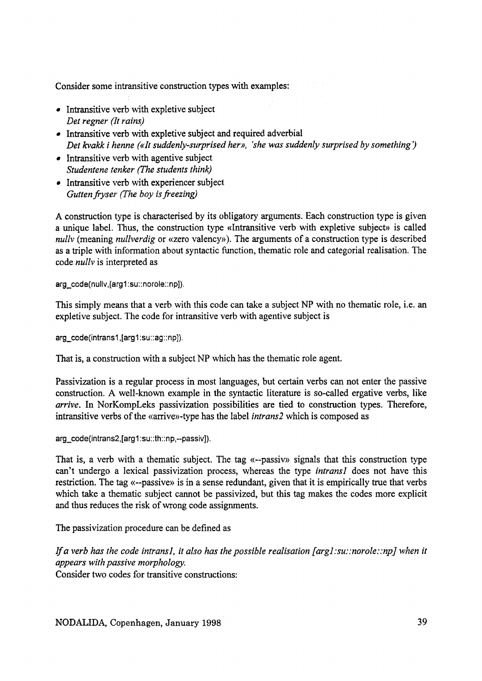Consider some intransitive construction types with examples;

- $\bullet$  Intransitive verb with expletive subject *Det regner (It rains)*
- Intransitive verb with expletive subject and required adverbial *Det kvakk i henne («It suddenly-surprised her», 'she was suddenly surprised by something')*
- Intransitive verb with agentive subject *Stu d en ten e ten ker (The stu d en ts think)*
- Intransitive verb with experiencer subject *Gutten fryser (The boy is freezing)*

A construction type is characterised by its obligatory arguments. Each construction type is given a unique label. Thus, the construction type «Intransitive verb with expletive subject» is called *nullv* (meaning *nullverdig* or «zero valency»). The arguments of a construction type is described as a triple with information about syntactic function, thematic role and categorial realisation. The code *nully* is interpreted as

**arg\_code(nullv,[arg1;su;;norole;;np]).**

This simply means that a verb with this code can take a subject NP with no thematic role, i.e. an expletive subject. The code for intransitive verb with agentive subject is

**arg\_code(intrans1,[arg1;su::ag::np]).**

That is, a construction with a subject NP which has the thematic role agent.

Passivization is a regular process in most languages, but certain verbs can not enter the passive construction. A well-known example in the syntactic literature is so-called ergative verbs, like *arrive*. In NorKompLeks passivization possibilities are tied to construction types. Therefore, in transitive verbs of the «arrive»-type has the label *intrans2* which is composed as

**arg\_code(intrans2,[arg1:su;:th::np,-passiv]).**

That is, a verb with a thematic subject. The tag «--passiv» signals that this construction type can't undergo a lexical passivization process, whereas the type *intransl* does not have this restriction. The tag «--passive» is in a sense redundant, given that it is empirically true that verbs which take a thematic subject cannot be passivized, but this tag makes the codes more explicit and thus reduces the risk of wrong code assignments.

The passivization procedure can be defined as

*If a verb has the code intrans1, it also has the possible realisation [arg1:su::norole::np] when it appears with passive morphology.* Consider two codes for transitive constructions:

NODALIDA, Copenhagen, January 1998 39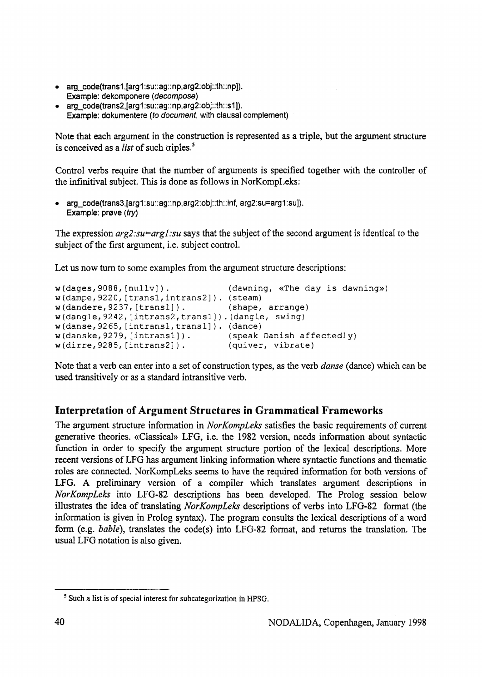- **atg\_code(trans1,[arg1:su::ag:;np,arg2;obj::th::np]). Example: dekomponere** *[decom pose)*
- **arg\_code(trans2,[arg1:su::ag::np,arg2:obj::th::s1]). Example: dokumentere** *[to document,* **with clausal complement)**

Note that each argument in the construction is represented as a triple, but the argument structure is conceived as a *list* of such triples.<sup>5</sup>

Control verbs require that the number of arguments is specified together with the controller of the infinitival subject. This is done as follows in NorKompLeks:

**• arg\_code(trans3,[arg1:su::ag::np,arg2:obj;:th;;inf, arg2:su=arg1:su]). Example: prøve** *(try)*

The expression *arg2; su=arg1; su* says that the subject of the second argument is identical to the subject of the first argument, i.e. subject control.

Let us now turn to some examples from the argument structure descriptions:

```
w(dages, 9088, [nullv]). (dawning, «The day is dawning»)
w (dampe,9 2 2 0 , [ t r a n s l,intrans2]}. (steam)
w (dandere,9 2 3 7 , [transl]). (shape, arrange)
w(dangle, 9242, [intrans2, trans1]). (dangle, swing)
w ( d a n s e , 9 2 6 5 , [intransl,transl]). (dance)
w (danske,9 2 7 9 , [intransl]). (speak Danish affectedly)
w ( d i r r e , 9 2 8 5 , [intrans2]). (quiver, vibrate)
```
Note that a verb can enter into a set of construction types, as the verb *danse* (dance) which can be used transitively or as a standard intransitive verb.

# **Interpretation of Argument Structures in Grammatical Frameworks**

The argument structure information in *NorKompLeks* satisfies the basic requirements of current generative theories. «Classical» LFG, i.e. the 1982 version, needs information about syntactic function in order to specify the argument structure portion of the lexical descriptions. More recent versions of LFG has argument linking information where syntactic functions and thematic roles are connected. NorKompLeks seems to have the required information for both versions of LFG. A preliminary version of a compiler which translates argument descriptions in *NorKompLeks* into LFG-82 descriptions has been developed. The Prolog session below illustrates the idea of translating *NorKompLeks* descriptions of verbs into LFG-82 format (the information is given in Prolog syntax). The program consults the lexical descriptions of a word form (e.g. *bable*), translates the code(s) into LFG-82 format, and returns the translation. The usual LFG notation is also given.

**<sup>&#</sup>x27; Such a list is of special interest for subcategorization in HPSG.**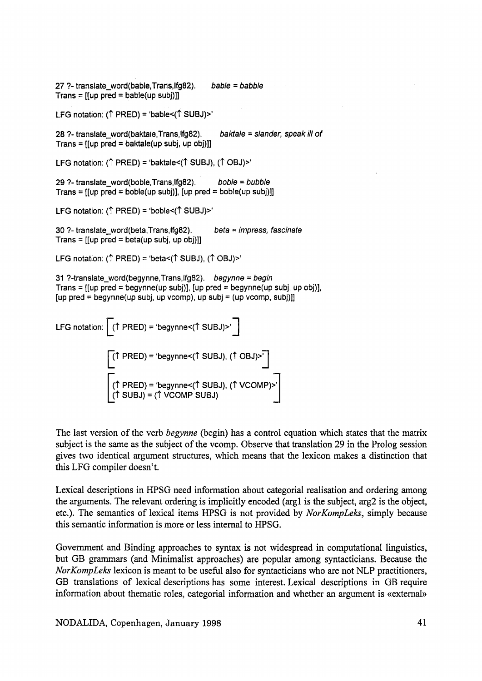**27 ?- translate\_word(bable,Trans,Ifg82).** *ta b le* **=** *babble* **Trans = [[up pred = bable(up subj)]]** LFG notation: ( $\uparrow$  PRED) = 'bable<( $\uparrow$  SUBJ)>' **28 ?- translate\_word(baktale,Trans,lfg82).** *baktale* **=** *slander, speak ill o f* **Trans = [[up pred = baktale(up subj, up obj)]]** LFG notation:  $(\uparrow$  PRED) = 'baktale< $(\uparrow$  SUBJ),  $(\uparrow$  OBJ)>' **29 ?- translate\_word(boble,Trans,lfg82).** *boble = bubble* **Trans = [[up pred = boble(up sub])], [up pred = bobIe(up sub])]]** LFG notation: ( $\uparrow$  PRED) = 'boble<( $\uparrow$  SUBJ)>' **30 ?- translate\_word(beta,Trans,lfg82).** *beta = impress, fascinate* **Trans = [[up pred = beta(up subj, up obj)]]** LFG notation:  $(\uparrow$  PRED) = 'beta< $(\uparrow$  SUBJ),  $(\uparrow$  OBJ)>' **31 ?-translate\_word(begynne,Trans,lfg82).** *begynne = begin* **Trans = [[up pred = begynne(up subj)], [up pred = begynne(up subj, up obj)], [up pred = begynne(up subj, up vcomp), up subj = (up vcomp, subj)]]** LFG notation:  $[(\uparrow \text{PRED}) = \text{`begynne} \text{`(`SUBJ)} \text{>} \cdot ]$ **| (↑ PRED) = 'begynne<(↑ SUBJ), (↑ OBJ)>' |** [ **( t PRED) = 'begynne<(t SUBJ), ( t VCOMP)>' ( t SUBJ) = ( t VCOMP SUBJ)**

The last version of the verb *begynne* (begin) has a control equation which states that the matrix subject is the same as the subject of the vcomp. Observe that translation 29 in the Prolog session gives two identical argument structures, which means that the lexicon makes a distinction that this LFG compiler doesn't.

Lexical descriptions in HPSG need information about categorial realisation and ordering among the arguments. The relevant ordering is implicitly encoded (arg  $l$  is the subject, arg  $2$  is the object, etc.). The semantics of lexical items HPSG is not provided by *NorKompLeks*, simply because this semantic information is more or less internal to HPSG.

Government and Binding approaches to syntax is not widespread in computational linguistics, but GB grammars (and Minimalist approaches) are popular among syntacticians. Because the *Nor Komp Leks* lexicon is meant to be useful also for syntacticians who are not NLP practitioners, GB translations of lexical descriptions has some interest. Lexical descriptions in GB require information about the matic roles, categorial information and whether an argument is «external»

NODALIDA, Copenhagen, January 1998 41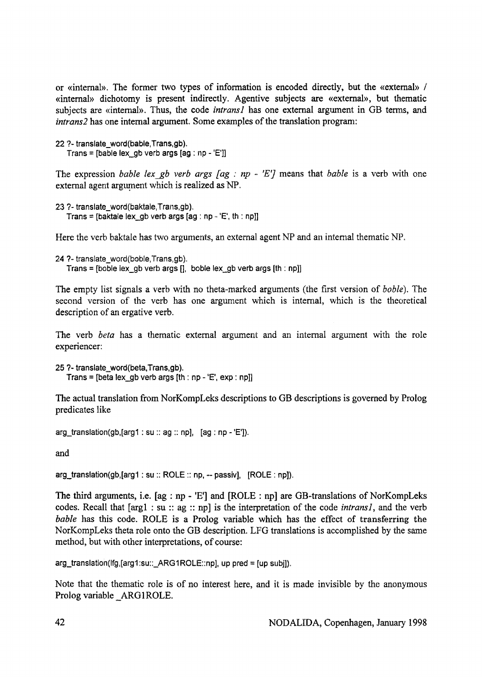or «internal». The former two types of information is encoded directly, but the «external» / «internal» dichotomy is present indirectly. Agentive subjects are «external», but thematic subjects are «internal». Thus, the code *intransl* has one external argument in GB terms, and *intrans2* has one internal argument. Some examples of the translation program;

```
22 ?- translate_word(bable,Trans,gb).
   Trans = [bable lex_gb verb args [ag : np - 'E']]
```
The expression *bable lex gb verb args [ag : np - 'E']* means that *bable* is a verb with one external agent argument which is realized as NP.

```
23 ?- translate_word(baktaie,Trans,gb).
   Trans = [baktale lex_gb verb args [ag ; np 'E', th ; np]]
```
Here the verb baktale has two arguments, an external agent NP and an internal thematic NP.

```
24 ?- translate_word(boble,Trans,gb).
   Trans = [boble iex_gb verb args [], boble lex_gb verb args [th : np]]
```
The empty list signals a verb with no theta-marked arguments (the first version of *boble*). The second version of the verb has one argument which is internal, which is the theoretical description of an ergative verb.

The verb *beta* has a thematic external argument and an internal argument with the role experiencer:

**25 ?- translate\_word(beta,Trans,gb). Trans = [beta Iex\_gb verb args [th : np - 'E', exp: np]]**

The actual translation from NorKompLeks descriptions to GB descriptions is governed by Prolog predicates like

**arg\_translation(gb,[arg1 : su :: ag :: np], [ag : np - 'E']).**

and

arg\_translation(gb, [arg1 : su :: ROLE :: np, -- passiv], [ROLE : np]).

The third arguments, i.e.  $[ag : np - 'E']$  and  $[ROLE : np]$  are GB-translations of NorKompLeks codes. Recall that [arg1 : su :: ag :: np] is the interpretation of the code *intrans1*, and the verb *bable* has this code. ROLE is a Prolog variable which has the effect of transferring the NorKompLeks theta role onto the GB description. LFG translations is accomplished by the same method, but with other interpretations, of course:

**arg\_translation(!fg,[arg1:su::\_ARG1ROLE::np], up pred = [up sub]]).**

Note that the thematic role is of no interest here, and it is made invisible by the anonymous Prolog variable ARG1ROLE.